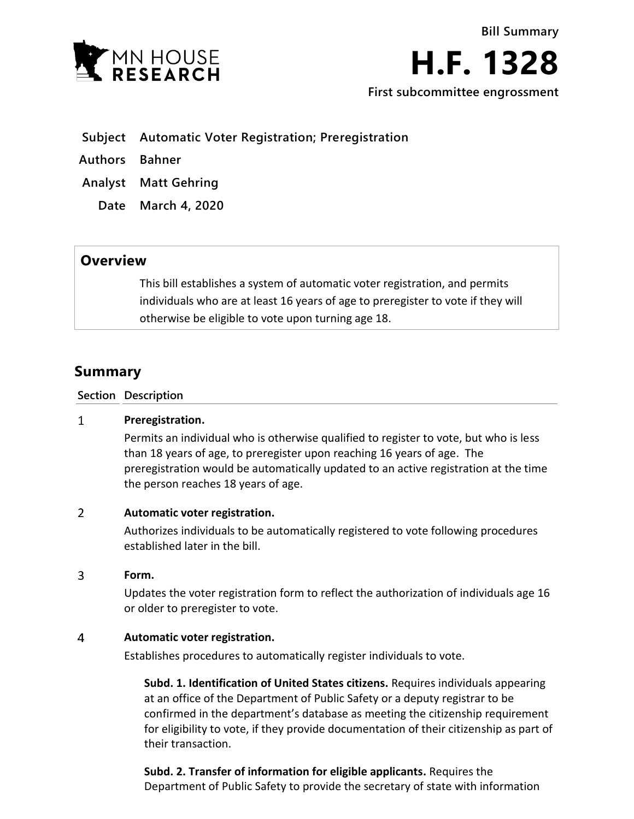

**H.F. 1328**

**First subcommittee engrossment**

- **Subject Automatic Voter Registration; Preregistration**
- **Authors Bahner**
- **Analyst Matt Gehring**
	- **Date March 4, 2020**

# **Overview**

This bill establishes a system of automatic voter registration, and permits individuals who are at least 16 years of age to preregister to vote if they will otherwise be eligible to vote upon turning age 18.

# **Summary**

**Section Description**

### $\mathbf{1}$ **Preregistration.**

Permits an individual who is otherwise qualified to register to vote, but who is less than 18 years of age, to preregister upon reaching 16 years of age. The preregistration would be automatically updated to an active registration at the time the person reaches 18 years of age.

## $\overline{2}$ **Automatic voter registration.**

Authorizes individuals to be automatically registered to vote following procedures established later in the bill.

### 3 **Form.**

Updates the voter registration form to reflect the authorization of individuals age 16 or older to preregister to vote.

### $\overline{4}$ **Automatic voter registration.**

Establishes procedures to automatically register individuals to vote.

**Subd. 1. Identification of United States citizens.** Requires individuals appearing at an office of the Department of Public Safety or a deputy registrar to be confirmed in the department's database as meeting the citizenship requirement for eligibility to vote, if they provide documentation of their citizenship as part of their transaction.

**Subd. 2. Transfer of information for eligible applicants.** Requires the Department of Public Safety to provide the secretary of state with information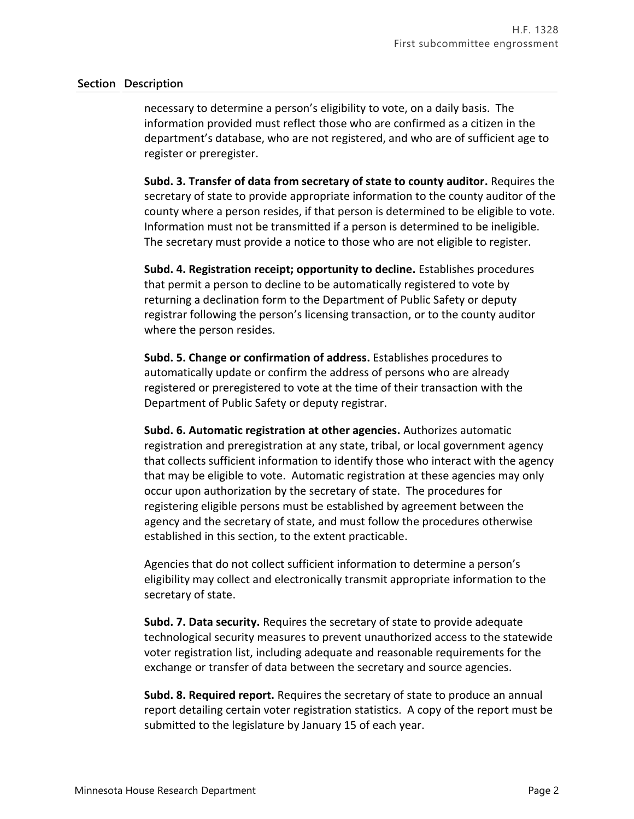# **Section Description**

necessary to determine a person's eligibility to vote, on a daily basis. The information provided must reflect those who are confirmed as a citizen in the department's database, who are not registered, and who are of sufficient age to register or preregister.

**Subd. 3. Transfer of data from secretary of state to county auditor.** Requires the secretary of state to provide appropriate information to the county auditor of the county where a person resides, if that person is determined to be eligible to vote. Information must not be transmitted if a person is determined to be ineligible. The secretary must provide a notice to those who are not eligible to register.

**Subd. 4. Registration receipt; opportunity to decline.** Establishes procedures that permit a person to decline to be automatically registered to vote by returning a declination form to the Department of Public Safety or deputy registrar following the person's licensing transaction, or to the county auditor where the person resides.

**Subd. 5. Change or confirmation of address.** Establishes procedures to automatically update or confirm the address of persons who are already registered or preregistered to vote at the time of their transaction with the Department of Public Safety or deputy registrar.

**Subd. 6. Automatic registration at other agencies.** Authorizes automatic registration and preregistration at any state, tribal, or local government agency that collects sufficient information to identify those who interact with the agency that may be eligible to vote. Automatic registration at these agencies may only occur upon authorization by the secretary of state. The procedures for registering eligible persons must be established by agreement between the agency and the secretary of state, and must follow the procedures otherwise established in this section, to the extent practicable.

Agencies that do not collect sufficient information to determine a person's eligibility may collect and electronically transmit appropriate information to the secretary of state.

**Subd. 7. Data security.** Requires the secretary of state to provide adequate technological security measures to prevent unauthorized access to the statewide voter registration list, including adequate and reasonable requirements for the exchange or transfer of data between the secretary and source agencies.

**Subd. 8. Required report.** Requires the secretary of state to produce an annual report detailing certain voter registration statistics. A copy of the report must be submitted to the legislature by January 15 of each year.